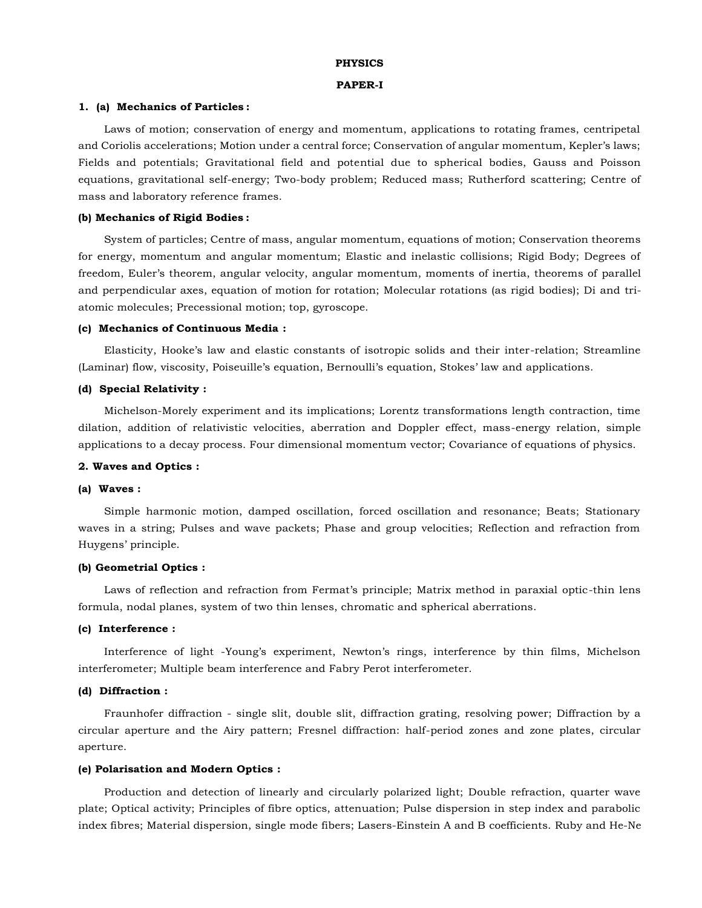## **PHYSICS**

#### **PAPER-I**

#### **1. (a) Mechanics of Particles :**

Laws of motion; conservation of energy and momentum, applications to rotating frames, centripetal and Coriolis accelerations; Motion under a central force; Conservation of angular momentum, Kepler's laws; Fields and potentials; Gravitational field and potential due to spherical bodies, Gauss and Poisson equations, gravitational self-energy; Two-body problem; Reduced mass; Rutherford scattering; Centre of mass and laboratory reference frames.

#### **(b) Mechanics of Rigid Bodies :**

System of particles; Centre of mass, angular momentum, equations of motion; Conservation theorems for energy, momentum and angular momentum; Elastic and inelastic collisions; Rigid Body; Degrees of freedom, Euler's theorem, angular velocity, angular momentum, moments of inertia, theorems of parallel and perpendicular axes, equation of motion for rotation; Molecular rotations (as rigid bodies); Di and triatomic molecules; Precessional motion; top, gyroscope.

## **(c) Mechanics of Continuous Media :**

Elasticity, Hooke's law and elastic constants of isotropic solids and their inter-relation; Streamline (Laminar) flow, viscosity, Poiseuille's equation, Bernoulli's equation, Stokes' law and applications.

#### **(d) Special Relativity :**

Michelson-Morely experiment and its implications; Lorentz transformations length contraction, time dilation, addition of relativistic velocities, aberration and Doppler effect, mass-energy relation, simple applications to a decay process. Four dimensional momentum vector; Covariance of equations of physics.

### **2. Waves and Optics :**

#### **(a) Waves :**

Simple harmonic motion, damped oscillation, forced oscillation and resonance; Beats; Stationary waves in a string; Pulses and wave packets; Phase and group velocities; Reflection and refraction from Huygens' principle.

# **(b) Geometrial Optics :**

Laws of reflection and refraction from Fermat's principle; Matrix method in paraxial optic-thin lens formula, nodal planes, system of two thin lenses, chromatic and spherical aberrations.

## **(c) Interference :**

Interference of light -Young's experiment, Newton's rings, interference by thin films, Michelson interferometer; Multiple beam interference and Fabry Perot interferometer.

## **(d) Diffraction :**

Fraunhofer diffraction - single slit, double slit, diffraction grating, resolving power; Diffraction by a circular aperture and the Airy pattern; Fresnel diffraction: half-period zones and zone plates, circular aperture.

# **(e) Polarisation and Modern Optics :**

Production and detection of linearly and circularly polarized light; Double refraction, quarter wave plate; Optical activity; Principles of fibre optics, attenuation; Pulse dispersion in step index and parabolic index fibres; Material dispersion, single mode fibers; Lasers-Einstein A and B coefficients. Ruby and He-Ne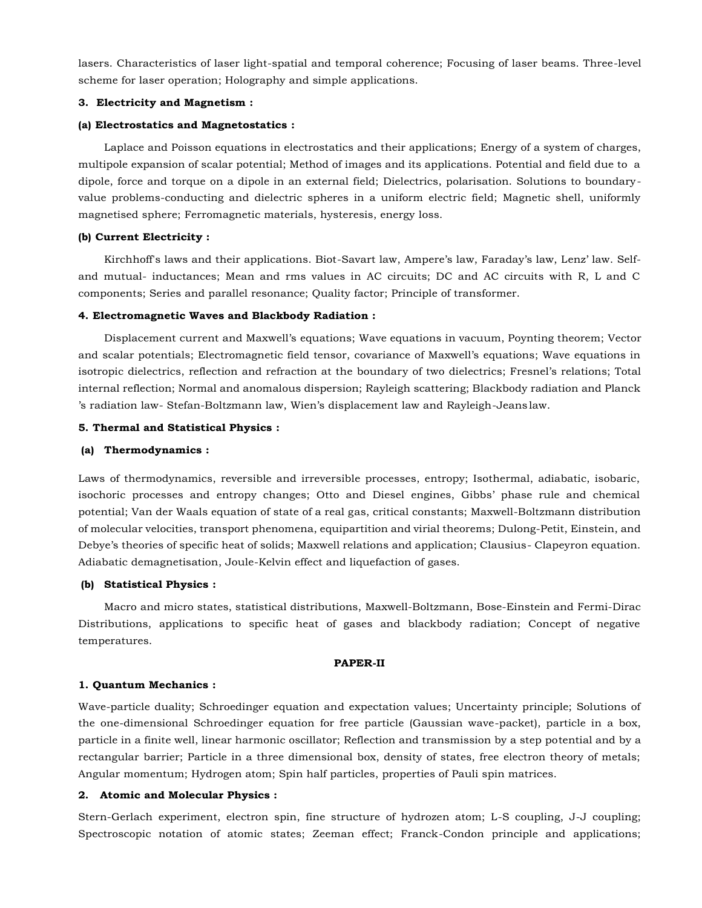lasers. Characteristics of laser light-spatial and temporal coherence; Focusing of laser beams. Three-level scheme for laser operation; Holography and simple applications.

# **3. Electricity and Magnetism :**

## **(a) Electrostatics and Magnetostatics :**

Laplace and Poisson equations in electrostatics and their applications; Energy of a system of charges, multipole expansion of scalar potential; Method of images and its applications. Potential and field due to a dipole, force and torque on a dipole in an external field; Dielectrics, polarisation. Solutions to boundaryvalue problems-conducting and dielectric spheres in a uniform electric field; Magnetic shell, uniformly magnetised sphere; Ferromagnetic materials, hysteresis, energy loss.

# **(b) Current Electricity :**

Kirchhoff's laws and their applications. Biot-Savart law, Ampere's law, Faraday's law, Lenz' law. Selfand mutual- inductances; Mean and rms values in AC circuits; DC and AC circuits with R, L and C components; Series and parallel resonance; Quality factor; Principle of transformer.

## **4. Electromagnetic Waves and Blackbody Radiation :**

Displacement current and Maxwell's equations; Wave equations in vacuum, Poynting theorem; Vector and scalar potentials; Electromagnetic field tensor, covariance of Maxwell's equations; Wave equations in isotropic dielectrics, reflection and refraction at the boundary of two dielectrics; Fresnel's relations; Total internal reflection; Normal and anomalous dispersion; Rayleigh scattering; Blackbody radiation and Planck 's radiation law- Stefan-Boltzmann law, Wien's displacement law and Rayleigh-Jeans law.

## **5. Thermal and Statistical Physics :**

## **(a) Thermodynamics :**

Laws of thermodynamics, reversible and irreversible processes, entropy; Isothermal, adiabatic, isobaric, isochoric processes and entropy changes; Otto and Diesel engines, Gibbs' phase rule and chemical potential; Van der Waals equation of state of a real gas, critical constants; Maxwell-Boltzmann distribution of molecular velocities, transport phenomena, equipartition and virial theorems; Dulong-Petit, Einstein, and Debye's theories of specific heat of solids; Maxwell relations and application; Clausius- Clapeyron equation. Adiabatic demagnetisation, Joule-Kelvin effect and liquefaction of gases.

# **(b) Statistical Physics :**

Macro and micro states, statistical distributions, Maxwell-Boltzmann, Bose-Einstein and Fermi-Dirac Distributions, applications to specific heat of gases and blackbody radiation; Concept of negative temperatures.

## **PAPER-II**

#### **1. Quantum Mechanics :**

Wave-particle duality; Schroedinger equation and expectation values; Uncertainty principle; Solutions of the one-dimensional Schroedinger equation for free particle (Gaussian wave-packet), particle in a box, particle in a finite well, linear harmonic oscillator; Reflection and transmission by a step potential and by a rectangular barrier; Particle in a three dimensional box, density of states, free electron theory of metals; Angular momentum; Hydrogen atom; Spin half particles, properties of Pauli spin matrices.

## **2. Atomic and Molecular Physics :**

Stern-Gerlach experiment, electron spin, fine structure of hydrozen atom; L-S coupling, J-J coupling; Spectroscopic notation of atomic states; Zeeman effect; Franck-Condon principle and applications;